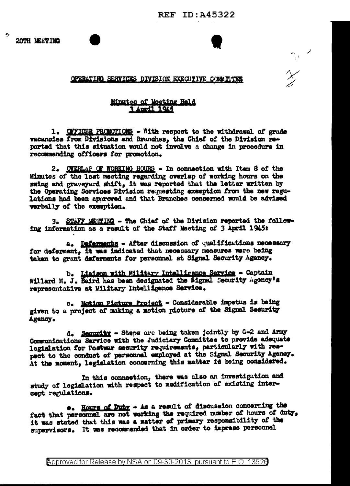$\gamma_{\rm c}$  /

## OPERATING SERVICES DIVISION EXECUTIVE COMMITTEE

## Minutes of Meeting Held 3 April 1945

1. COTICER PROMOTIONS - With respect to the withdrawal of grade vacancies from Divisions and Branches, the Chief of the Division reported that this situation would not involve a change in procedure in recommending officers for promotion.

2. OVERLAP OF WORKING HOURS - In connection with Item 8 of the Minutes of the last meeting regarding overlap of working hours on the swing and graveyard shift, it was reported that the letter written by the Operating Services Division requesting exemption from the new regulations had been approved and that Branches concerned would be advised verbally of the exemption.

3. STAFF MEETING - The Chief of the Division reported the following information as a result of the Staff Meeting of 3 April 1945:

a. Deferments - After discussion of qualifications necessary for deferment, it was indicated that necessary measures were being taken to grant deferments for personnel at Signal Security Agency.

b. Liaison with Military Intelligence Service - Captain Willard M. J. Baird has been designated the Signal Security Agency's representative at Military Intelligence Service.

c. Motion Picture Project - Considerable impetus is being given to a project of making a motion picture of the Signal Security Agency.

d. Security - Steps are being taken jointly by G-2 and Army Communications Service with the Judiciary Committee to provide adequate legislation for Postwar security requirements, particularly with respect to the conduct of personnal employed at the Signal Security Agency. At the moment, legislation concerning this matter is being considered.

In this connection, there was also an investigation and study of legislation with respect to modification of existing intercept regulations.

.. Hours of Duty - As a result of discussion concerning the fact that personnel are not working the required number of hours of duty. it was stated that this was a matter of primary responsibility of the supervisors. It was recommended that in order to impress personnel